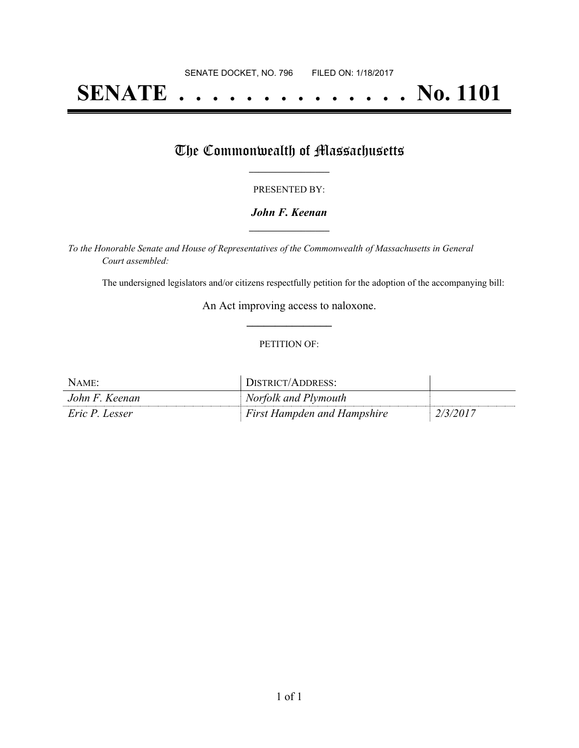# **SENATE . . . . . . . . . . . . . . No. 1101**

### The Commonwealth of Massachusetts

#### PRESENTED BY:

#### *John F. Keenan* **\_\_\_\_\_\_\_\_\_\_\_\_\_\_\_\_\_**

*To the Honorable Senate and House of Representatives of the Commonwealth of Massachusetts in General Court assembled:*

The undersigned legislators and/or citizens respectfully petition for the adoption of the accompanying bill:

An Act improving access to naloxone. **\_\_\_\_\_\_\_\_\_\_\_\_\_\_\_**

#### PETITION OF:

| NAME:          | DISTRICT/ADDRESS:                  |          |
|----------------|------------------------------------|----------|
| John F. Keenan | Norfolk and Plymouth               |          |
| Eric P. Lesser | <b>First Hampden and Hampshire</b> | 2/3/2017 |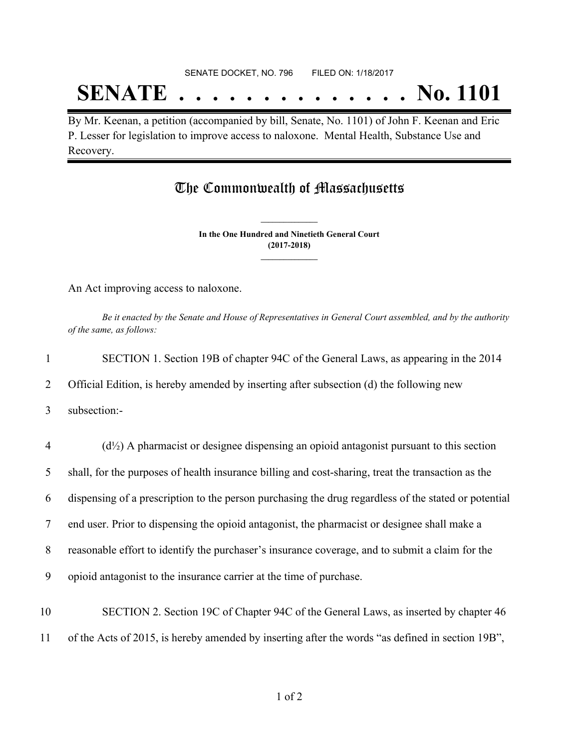## **SENATE . . . . . . . . . . . . . . No. 1101**

By Mr. Keenan, a petition (accompanied by bill, Senate, No. 1101) of John F. Keenan and Eric P. Lesser for legislation to improve access to naloxone. Mental Health, Substance Use and Recovery.

### The Commonwealth of Massachusetts

**In the One Hundred and Ninetieth General Court (2017-2018) \_\_\_\_\_\_\_\_\_\_\_\_\_\_\_**

**\_\_\_\_\_\_\_\_\_\_\_\_\_\_\_**

An Act improving access to naloxone.

Be it enacted by the Senate and House of Representatives in General Court assembled, and by the authority *of the same, as follows:*

| $\mathbf{1}$   | SECTION 1. Section 19B of chapter 94C of the General Laws, as appearing in the 2014                  |
|----------------|------------------------------------------------------------------------------------------------------|
| 2              | Official Edition, is hereby amended by inserting after subsection (d) the following new              |
| 3              | subsection:-                                                                                         |
| $\overline{4}$ | $(d1/2)$ A pharmacist or designee dispensing an opioid antagonist pursuant to this section           |
| 5              | shall, for the purposes of health insurance billing and cost-sharing, treat the transaction as the   |
| 6              | dispensing of a prescription to the person purchasing the drug regardless of the stated or potential |
| $\tau$         | end user. Prior to dispensing the opioid antagonist, the pharmacist or designee shall make a         |
| 8              | reasonable effort to identify the purchaser's insurance coverage, and to submit a claim for the      |
| 9              | opioid antagonist to the insurance carrier at the time of purchase.                                  |
| 10             | SECTION 2. Section 19C of Chapter 94C of the General Laws, as inserted by chapter 46                 |
| 11             | of the Acts of 2015, is hereby amended by inserting after the words "as defined in section 19B",     |